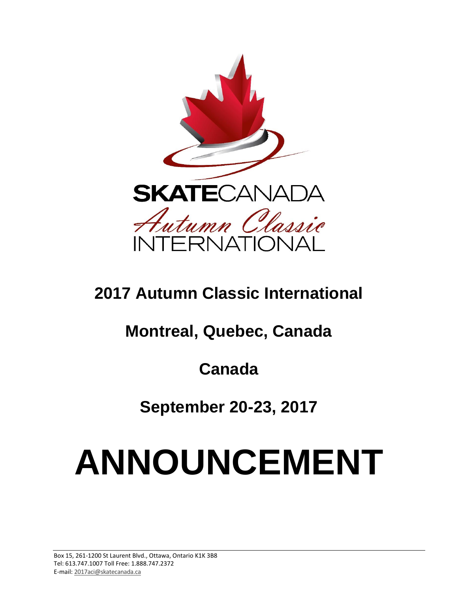

# **2017 Autumn Classic International**

# **Montreal, Quebec, Canada**

**Canada**

**September 20-23, 2017**

# **ANNOUNCEMENT**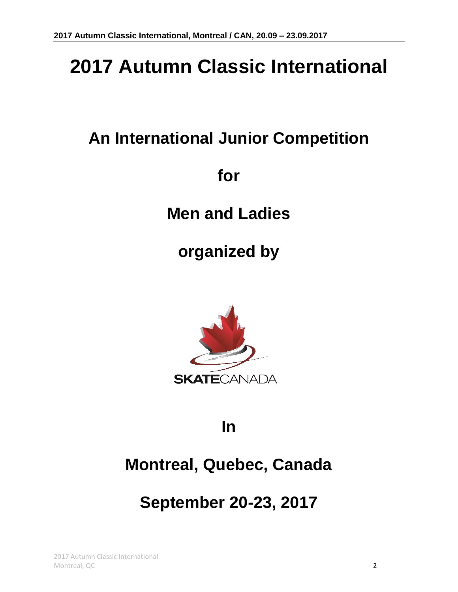# **2017 Autumn Classic International**

# **An International Junior Competition**

**for**

**Men and Ladies**

**organized by**



# **In**

# **Montreal, Quebec, Canada**

# **September 20-23, 2017**

2017 Autumn Classic International Montreal, QC 2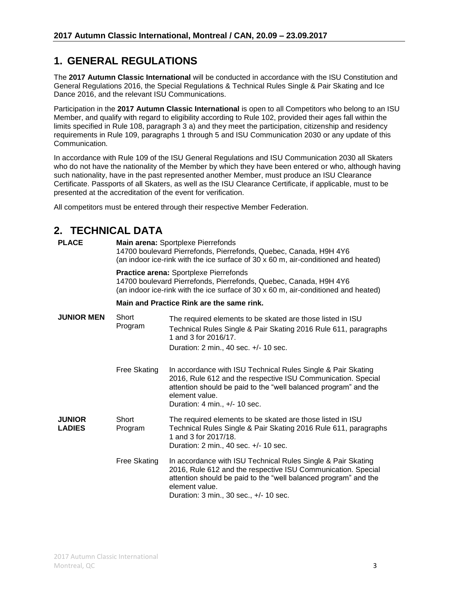### **1. GENERAL REGULATIONS**

The **2017 Autumn Classic International** will be conducted in accordance with the ISU Constitution and General Regulations 2016, the Special Regulations & Technical Rules Single & Pair Skating and Ice Dance 2016, and the relevant ISU Communications.

Participation in the **2017 Autumn Classic International** is open to all Competitors who belong to an ISU Member, and qualify with regard to eligibility according to Rule 102, provided their ages fall within the limits specified in Rule 108, paragraph 3 a) and they meet the participation, citizenship and residency requirements in Rule 109, paragraphs 1 through 5 and ISU Communication 2030 or any update of this Communication.

In accordance with Rule 109 of the ISU General Regulations and ISU Communication 2030 all Skaters who do not have the nationality of the Member by which they have been entered or who, although having such nationality, have in the past represented another Member, must produce an ISU Clearance Certificate. Passports of all Skaters, as well as the ISU Clearance Certificate, if applicable, must to be presented at the accreditation of the event for verification.

All competitors must be entered through their respective Member Federation.

# **2. TECHNICAL DATA**

| <b>PLACE</b>                   | <b>Main arena: Sportplexe Pierrefonds</b><br>14700 boulevard Pierrefonds, Pierrefonds, Quebec, Canada, H9H 4Y6<br>(an indoor ice-rink with the ice surface of 30 x 60 m, air-conditioned and heated) |                                                                                                                                                                                                                                                             |  |  |  |  |
|--------------------------------|------------------------------------------------------------------------------------------------------------------------------------------------------------------------------------------------------|-------------------------------------------------------------------------------------------------------------------------------------------------------------------------------------------------------------------------------------------------------------|--|--|--|--|
|                                | Practice arena: Sportplexe Pierrefonds<br>14700 boulevard Pierrefonds, Pierrefonds, Quebec, Canada, H9H 4Y6<br>(an indoor ice-rink with the ice surface of 30 x 60 m, air-conditioned and heated)    |                                                                                                                                                                                                                                                             |  |  |  |  |
|                                | Main and Practice Rink are the same rink.                                                                                                                                                            |                                                                                                                                                                                                                                                             |  |  |  |  |
| <b>JUNIOR MEN</b>              | Short<br>Program                                                                                                                                                                                     | The required elements to be skated are those listed in ISU<br>Technical Rules Single & Pair Skating 2016 Rule 611, paragraphs<br>1 and 3 for 2016/17.<br>Duration: 2 min., 40 sec. +/- 10 sec.                                                              |  |  |  |  |
|                                | Free Skating                                                                                                                                                                                         | In accordance with ISU Technical Rules Single & Pair Skating<br>2016, Rule 612 and the respective ISU Communication. Special<br>attention should be paid to the "well balanced program" and the<br>element value.<br>Duration: 4 min., +/- 10 sec.          |  |  |  |  |
| <b>JUNIOR</b><br><b>LADIES</b> | Short<br>Program                                                                                                                                                                                     | The required elements to be skated are those listed in ISU<br>Technical Rules Single & Pair Skating 2016 Rule 611, paragraphs<br>1 and 3 for 2017/18.<br>Duration: 2 min., 40 sec. +/- 10 sec.                                                              |  |  |  |  |
|                                | Free Skating                                                                                                                                                                                         | In accordance with ISU Technical Rules Single & Pair Skating<br>2016, Rule 612 and the respective ISU Communication. Special<br>attention should be paid to the "well balanced program" and the<br>element value.<br>Duration: 3 min., 30 sec., +/- 10 sec. |  |  |  |  |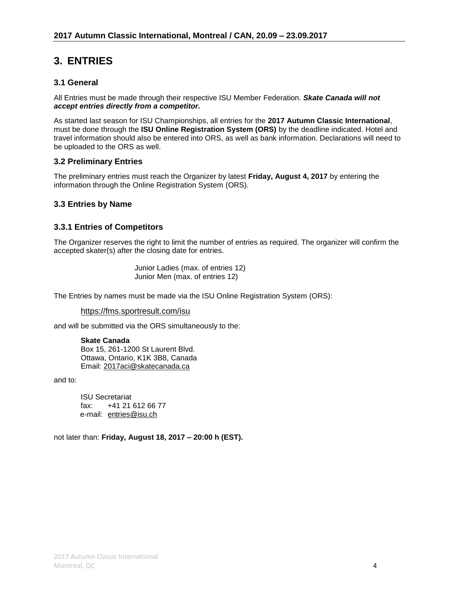# **3. ENTRIES**

#### **3.1 General**

All Entries must be made through their respective ISU Member Federation. *Skate Canada will not accept entries directly from a competitor.*

As started last season for ISU Championships, all entries for the **2017 Autumn Classic International**, must be done through the **ISU Online Registration System (ORS)** by the deadline indicated. Hotel and travel information should also be entered into ORS, as well as bank information. Declarations will need to be uploaded to the ORS as well.

#### **3.2 Preliminary Entries**

The preliminary entries must reach the Organizer by latest **Friday, August 4, 2017** by entering the information through the Online Registration System (ORS).

#### **3.3 Entries by Name**

#### **3.3.1 Entries of Competitors**

The Organizer reserves the right to limit the number of entries as required. The organizer will confirm the accepted skater(s) after the closing date for entries.

> Junior Ladies (max. of entries 12) Junior Men (max. of entries 12)

The Entries by names must be made via the ISU Online Registration System (ORS):

<https://fms.sportresult.com/isu>

and will be submitted via the ORS simultaneously to the:

**Skate Canada** Box 15, 261-1200 St Laurent Blvd. Ottawa, Ontario, K1K 3B8, Canada Email: [2017aci@skatecanada.ca](mailto:2017aci@skatecanada.ca)

and to:

ISU Secretariat fax: +41 21 612 66 77 e-mail: [entries@isu.ch](mailto:entries@isu.ch)

not later than: **Friday, August 18, 2017 – 20:00 h (EST).**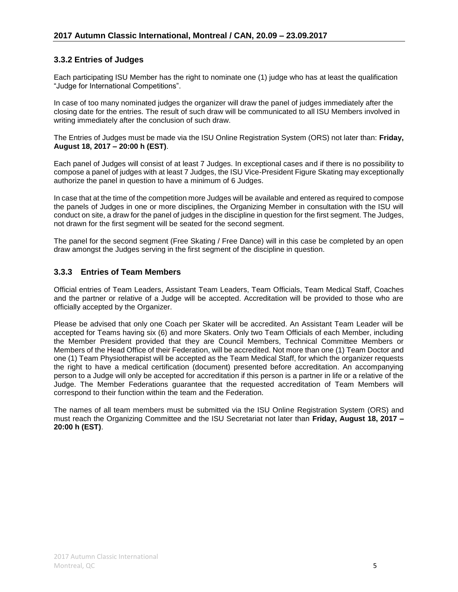#### **3.3.2 Entries of Judges**

Each participating ISU Member has the right to nominate one (1) judge who has at least the qualification "Judge for International Competitions".

In case of too many nominated judges the organizer will draw the panel of judges immediately after the closing date for the entries. The result of such draw will be communicated to all ISU Members involved in writing immediately after the conclusion of such draw.

The Entries of Judges must be made via the ISU Online Registration System (ORS) not later than: **Friday, August 18, 2017 – 20:00 h (EST)**.

Each panel of Judges will consist of at least 7 Judges. In exceptional cases and if there is no possibility to compose a panel of judges with at least 7 Judges, the ISU Vice-President Figure Skating may exceptionally authorize the panel in question to have a minimum of 6 Judges.

In case that at the time of the competition more Judges will be available and entered as required to compose the panels of Judges in one or more disciplines, the Organizing Member in consultation with the ISU will conduct on site, a draw for the panel of judges in the discipline in question for the first segment. The Judges, not drawn for the first segment will be seated for the second segment.

The panel for the second segment (Free Skating / Free Dance) will in this case be completed by an open draw amongst the Judges serving in the first segment of the discipline in question.

#### **3.3.3 Entries of Team Members**

Official entries of Team Leaders, Assistant Team Leaders, Team Officials, Team Medical Staff, Coaches and the partner or relative of a Judge will be accepted. Accreditation will be provided to those who are officially accepted by the Organizer.

Please be advised that only one Coach per Skater will be accredited. An Assistant Team Leader will be accepted for Teams having six (6) and more Skaters. Only two Team Officials of each Member, including the Member President provided that they are Council Members, Technical Committee Members or Members of the Head Office of their Federation, will be accredited. Not more than one (1) Team Doctor and one (1) Team Physiotherapist will be accepted as the Team Medical Staff, for which the organizer requests the right to have a medical certification (document) presented before accreditation. An accompanying person to a Judge will only be accepted for accreditation if this person is a partner in life or a relative of the Judge. The Member Federations guarantee that the requested accreditation of Team Members will correspond to their function within the team and the Federation.

The names of all team members must be submitted via the ISU Online Registration System (ORS) and must reach the Organizing Committee and the ISU Secretariat not later than **Friday, August 18, 2017 – 20:00 h (EST)**.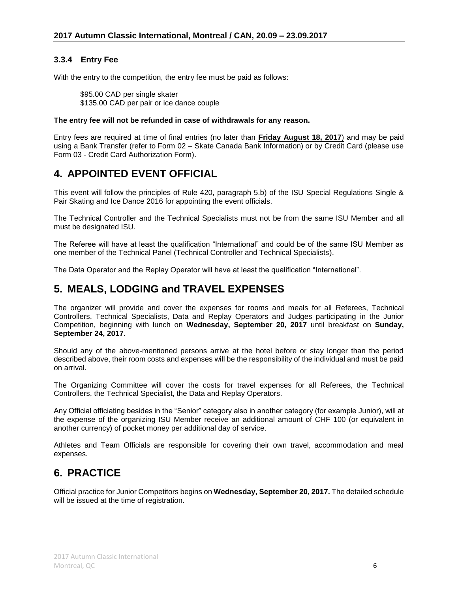#### **3.3.4 Entry Fee**

With the entry to the competition, the entry fee must be paid as follows:

\$95.00 CAD per single skater \$135.00 CAD per pair or ice dance couple

#### **The entry fee will not be refunded in case of withdrawals for any reason.**

Entry fees are required at time of final entries (no later than **Friday August 18, 2017**) and may be paid using a Bank Transfer (refer to Form 02 – Skate Canada Bank Information) or by Credit Card (please use Form 03 - Credit Card Authorization Form).

### **4. APPOINTED EVENT OFFICIAL**

This event will follow the principles of Rule 420, paragraph 5.b) of the ISU Special Regulations Single & Pair Skating and Ice Dance 2016 for appointing the event officials.

The Technical Controller and the Technical Specialists must not be from the same ISU Member and all must be designated ISU.

The Referee will have at least the qualification "International" and could be of the same ISU Member as one member of the Technical Panel (Technical Controller and Technical Specialists).

The Data Operator and the Replay Operator will have at least the qualification "International".

#### **5. MEALS, LODGING and TRAVEL EXPENSES**

The organizer will provide and cover the expenses for rooms and meals for all Referees, Technical Controllers, Technical Specialists, Data and Replay Operators and Judges participating in the Junior Competition, beginning with lunch on **Wednesday, September 20, 2017** until breakfast on **Sunday, September 24, 2017**.

Should any of the above-mentioned persons arrive at the hotel before or stay longer than the period described above, their room costs and expenses will be the responsibility of the individual and must be paid on arrival.

The Organizing Committee will cover the costs for travel expenses for all Referees, the Technical Controllers, the Technical Specialist, the Data and Replay Operators.

Any Official officiating besides in the "Senior" category also in another category (for example Junior), will at the expense of the organizing ISU Member receive an additional amount of CHF 100 (or equivalent in another currency) of pocket money per additional day of service.

Athletes and Team Officials are responsible for covering their own travel, accommodation and meal expenses.

#### **6. PRACTICE**

Official practice for Junior Competitors begins on **Wednesday, September 20, 2017.** The detailed schedule will be issued at the time of registration.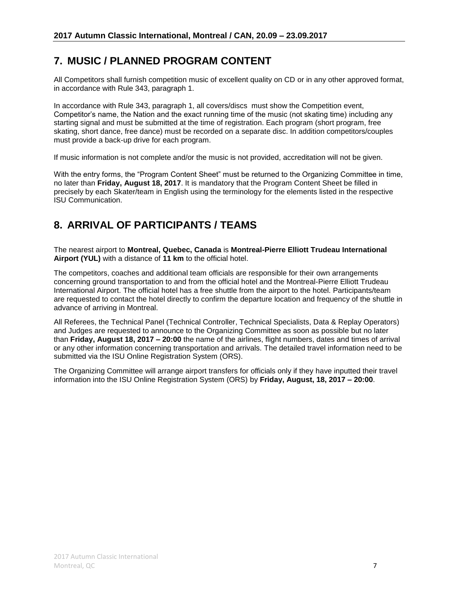# **7. MUSIC / PLANNED PROGRAM CONTENT**

All Competitors shall furnish competition music of excellent quality on CD or in any other approved format, in accordance with Rule 343, paragraph 1.

In accordance with Rule 343, paragraph 1, all covers/discs must show the Competition event, Competitor's name, the Nation and the exact running time of the music (not skating time) including any starting signal and must be submitted at the time of registration. Each program (short program, free skating, short dance, free dance) must be recorded on a separate disc. In addition competitors/couples must provide a back-up drive for each program.

If music information is not complete and/or the music is not provided, accreditation will not be given.

With the entry forms, the "Program Content Sheet" must be returned to the Organizing Committee in time, no later than **Friday, August 18, 2017**. It is mandatory that the Program Content Sheet be filled in precisely by each Skater/team in English using the terminology for the elements listed in the respective ISU Communication.

### **8. ARRIVAL OF PARTICIPANTS / TEAMS**

The nearest airport to **Montreal, Quebec, Canada** is **Montreal-Pierre Elliott Trudeau International Airport (YUL)** with a distance of **11 km** to the official hotel.

The competitors, coaches and additional team officials are responsible for their own arrangements concerning ground transportation to and from the official hotel and the Montreal-Pierre Elliott Trudeau International Airport. The official hotel has a free shuttle from the airport to the hotel. Participants/team are requested to contact the hotel directly to confirm the departure location and frequency of the shuttle in advance of arriving in Montreal.

All Referees, the Technical Panel (Technical Controller, Technical Specialists, Data & Replay Operators) and Judges are requested to announce to the Organizing Committee as soon as possible but no later than **Friday, August 18, 2017 – 20:00** the name of the airlines, flight numbers, dates and times of arrival or any other information concerning transportation and arrivals. The detailed travel information need to be submitted via the ISU Online Registration System (ORS).

The Organizing Committee will arrange airport transfers for officials only if they have inputted their travel information into the ISU Online Registration System (ORS) by **Friday, August, 18, 2017 – 20:00**.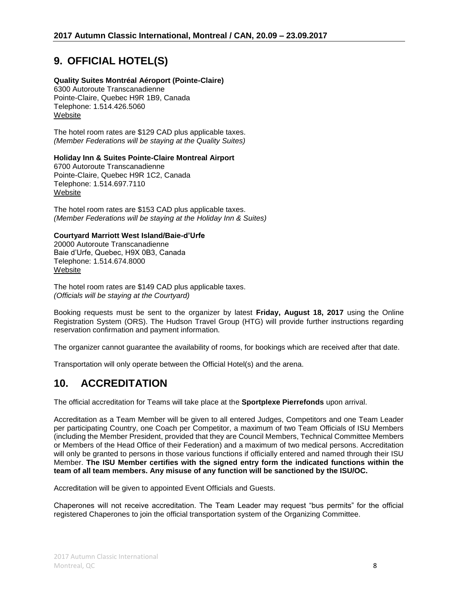# **9. OFFICIAL HOTEL(S)**

#### **Quality Suites Montréal Aéroport (Pointe-Claire)**

6300 Autoroute Transcanadienne Pointe-Claire, Quebec H9R 1B9, Canada Telephone: 1.514.426.5060 [Website](http://www.qualitysuitesmontrealairport.com/)

The hotel room rates are \$129 CAD plus applicable taxes. *(Member Federations will be staying at the Quality Suites)*

#### **Holiday Inn & Suites Pointe-Claire Montreal Airport**

6700 Autoroute Transcanadienne Pointe-Claire, Quebec H9R 1C2, Canada Telephone: 1.514.697.7110 [Website](https://www.ihg.com/holidayinn/hotels/us/en/pointe-claire/yulpc/hoteldetail?cm_mmc=GoogleMaps-_-HI-_-CAN-_-YULPC)

The hotel room rates are \$153 CAD plus applicable taxes. *(Member Federations will be staying at the Holiday Inn & Suites)*

#### **Courtyard Marriott West Island/Baie-d'Urfe**

20000 Autoroute Transcanadienne Baie d'Urfe, Quebec, H9X 0B3, Canada Telephone: 1.514.674.8000 [Website](http://www.marriott.com/hotels/travel/yulbd-courtyard-montreal-west-island-baie-d%19urfe/)

The hotel room rates are \$149 CAD plus applicable taxes. *(Officials will be staying at the Courtyard)*

Booking requests must be sent to the organizer by latest **Friday, August 18, 2017** using the Online Registration System (ORS). The Hudson Travel Group (HTG) will provide further instructions regarding reservation confirmation and payment information.

The organizer cannot guarantee the availability of rooms, for bookings which are received after that date.

Transportation will only operate between the Official Hotel(s) and the arena.

#### **10. ACCREDITATION**

The official accreditation for Teams will take place at the **Sportplexe Pierrefonds** upon arrival.

Accreditation as a Team Member will be given to all entered Judges, Competitors and one Team Leader per participating Country, one Coach per Competitor, a maximum of two Team Officials of ISU Members (including the Member President, provided that they are Council Members, Technical Committee Members or Members of the Head Office of their Federation) and a maximum of two medical persons. Accreditation will only be granted to persons in those various functions if officially entered and named through their ISU Member. **The ISU Member certifies with the signed entry form the indicated functions within the team of all team members. Any misuse of any function will be sanctioned by the ISU/OC.**

Accreditation will be given to appointed Event Officials and Guests.

Chaperones will not receive accreditation. The Team Leader may request "bus permits" for the official registered Chaperones to join the official transportation system of the Organizing Committee.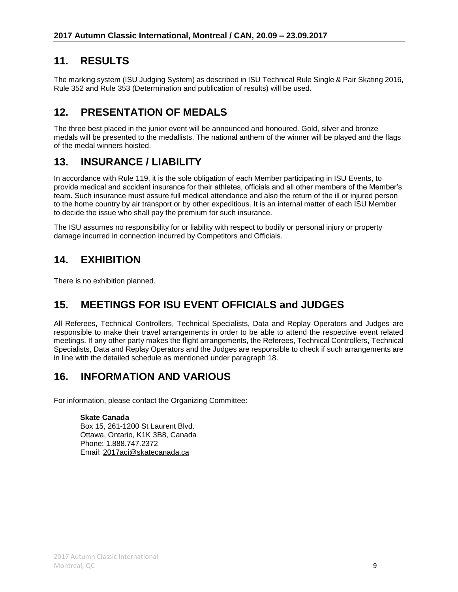### **11. RESULTS**

The marking system (ISU Judging System) as described in ISU Technical Rule Single & Pair Skating 2016, Rule 352 and Rule 353 (Determination and publication of results) will be used.

### **12. PRESENTATION OF MEDALS**

The three best placed in the junior event will be announced and honoured. Gold, silver and bronze medals will be presented to the medallists. The national anthem of the winner will be played and the flags of the medal winners hoisted.

#### **13. INSURANCE / LIABILITY**

In accordance with Rule 119, it is the sole obligation of each Member participating in ISU Events, to provide medical and accident insurance for their athletes, officials and all other members of the Member's team. Such insurance must assure full medical attendance and also the return of the ill or injured person to the home country by air transport or by other expeditious. It is an internal matter of each ISU Member to decide the issue who shall pay the premium for such insurance.

The ISU assumes no responsibility for or liability with respect to bodily or personal injury or property damage incurred in connection incurred by Competitors and Officials.

### **14. EXHIBITION**

There is no exhibition planned.

# **15. MEETINGS FOR ISU EVENT OFFICIALS and JUDGES**

All Referees, Technical Controllers, Technical Specialists, Data and Replay Operators and Judges are responsible to make their travel arrangements in order to be able to attend the respective event related meetings. If any other party makes the flight arrangements, the Referees, Technical Controllers, Technical Specialists, Data and Replay Operators and the Judges are responsible to check if such arrangements are in line with the detailed schedule as mentioned under paragraph 18.

#### **16. INFORMATION AND VARIOUS**

For information, please contact the Organizing Committee:

#### **Skate Canada**

Box 15, 261-1200 St Laurent Blvd. Ottawa, Ontario, K1K 3B8, Canada Phone: 1.888.747.2372 Email: [2017aci@skatecanada.ca](mailto:2017aci@skatecanada.ca)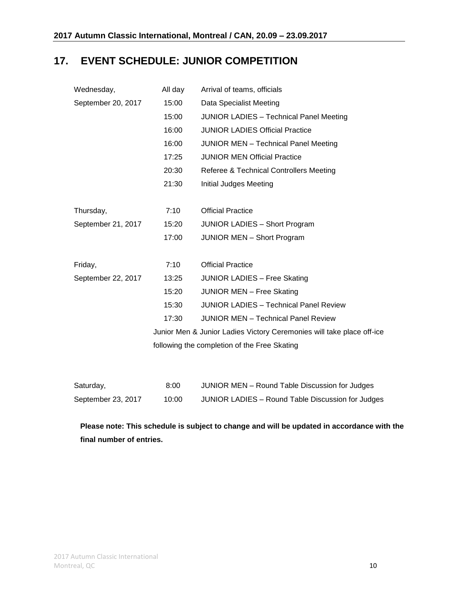# **17. EVENT SCHEDULE: JUNIOR COMPETITION**

| Wednesday,                                   | All day                                                               | Arrival of teams, officials                           |  |  |  |
|----------------------------------------------|-----------------------------------------------------------------------|-------------------------------------------------------|--|--|--|
| September 20, 2017                           | 15:00                                                                 | Data Specialist Meeting                               |  |  |  |
|                                              | 15:00                                                                 | <b>JUNIOR LADIES - Technical Panel Meeting</b>        |  |  |  |
|                                              | 16:00                                                                 | <b>JUNIOR LADIES Official Practice</b>                |  |  |  |
|                                              | 16:00                                                                 | <b>JUNIOR MEN - Technical Panel Meeting</b>           |  |  |  |
|                                              | 17:25                                                                 | <b>JUNIOR MEN Official Practice</b>                   |  |  |  |
|                                              | 20:30                                                                 | Referee & Technical Controllers Meeting               |  |  |  |
|                                              | 21:30                                                                 | Initial Judges Meeting                                |  |  |  |
|                                              |                                                                       |                                                       |  |  |  |
| Thursday,                                    | 7:10                                                                  | <b>Official Practice</b>                              |  |  |  |
| September 21, 2017                           | 15:20                                                                 | <b>JUNIOR LADIES - Short Program</b>                  |  |  |  |
|                                              | 17:00                                                                 | <b>JUNIOR MEN - Short Program</b>                     |  |  |  |
|                                              |                                                                       |                                                       |  |  |  |
| Friday,                                      | 7:10                                                                  | <b>Official Practice</b>                              |  |  |  |
| September 22, 2017                           | 13:25                                                                 | <b>JUNIOR LADIES - Free Skating</b>                   |  |  |  |
|                                              | 15:20                                                                 | <b>JUNIOR MEN - Free Skating</b>                      |  |  |  |
|                                              | 15:30                                                                 | <b>JUNIOR LADIES - Technical Panel Review</b>         |  |  |  |
|                                              | 17:30                                                                 | <b>JUNIOR MEN - Technical Panel Review</b>            |  |  |  |
|                                              | Junior Men & Junior Ladies Victory Ceremonies will take place off-ice |                                                       |  |  |  |
| following the completion of the Free Skating |                                                                       |                                                       |  |  |  |
|                                              |                                                                       |                                                       |  |  |  |
|                                              |                                                                       |                                                       |  |  |  |
| $C_{\text{O}}$ turdov                        | 0.00                                                                  | <b>ILINIOD MENL</b> Dound Toble Discussion for Judges |  |  |  |

| Saturday,          | 8:00  | JUNIOR MEN – Round Table Discussion for Judges    |
|--------------------|-------|---------------------------------------------------|
| September 23, 2017 | 10:00 | JUNIOR LADIES – Round Table Discussion for Judges |

**Please note: This schedule is subject to change and will be updated in accordance with the final number of entries.**